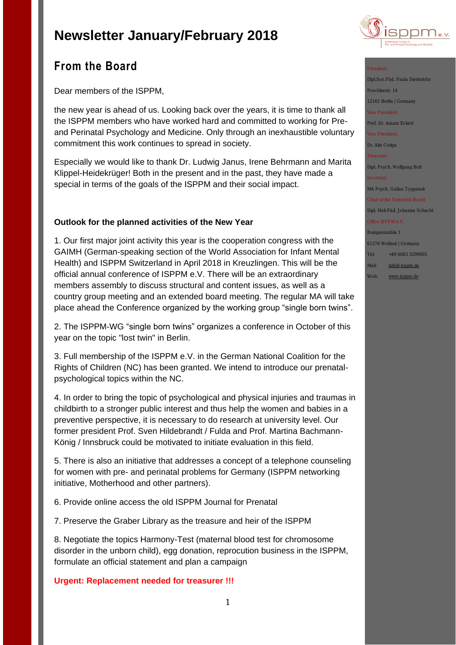

# **From the Board**

Dear members of the ISPPM,

the new year is ahead of us. Looking back over the years, it is time to thank all the ISPPM members who have worked hard and committed to working for Preand Perinatal Psychology and Medicine. Only through an inexhaustible voluntary commitment this work continues to spread in society.

Especially we would like to thank Dr. Ludwig Janus, Irene Behrmann and Marita Klippel-Heidekrüger! Both in the present and in the past, they have made a special in terms of the goals of the ISPPM and their social impact.

# **Outlook for the planned activities of the New Year**

1. Our first major joint activity this year is the cooperation congress with the GAIMH (German-speaking section of the World Association for Infant Mental Health) and ISPPM Switzerland in April 2018 in Kreuzlingen. This will be the official annual conference of ISPPM e.V. There will be an extraordinary members assembly to discuss structural and content issues, as well as a country group meeting and an extended board meeting. The regular MA will take place ahead the Conference organized by the working group "single born twins".

2. The ISPPM-WG "single born twins" organizes a conference in October of this year on the topic "lost twin" in Berlin.

3. Full membership of the ISPPM e.V. in the German National Coalition for the Rights of Children (NC) has been granted. We intend to introduce our prenatalpsychological topics within the NC.

4. In order to bring the topic of psychological and physical injuries and traumas in childbirth to a stronger public interest and thus help the women and babies in a preventive perspective, it is necessary to do research at university level. Our former president Prof. Sven Hildebrandt / Fulda and Prof. Martina Bachmann-König / Innsbruck could be motivated to initiate evaluation in this field.

5. There is also an initiative that addresses a concept of a telephone counseling for women with pre- and perinatal problems for Germany (ISPPM networking initiative, Motherhood and other partners).

6. Provide online access the old ISPPM Journal for Prenatal

7. Preserve the Graber Library as the treasure and heir of the ISPPM

8. Negotiate the topics Harmony-Test (maternal blood test for chromosome disorder in the unborn child), egg donation, reprocution business in the ISPPM, formulate an official statement and plan a campaign

## **Urgent: Replacement needed for treasurer !!!**

Dipl.Soz.Päd. Paula Diederichs Peschkestr. 14 12161 Berlin | Germany Prof. Dr. Amara Eckert Dr. Alin Cotiga

Dipl. Psych. Wolfgang Bott

MA Psych. Galina Tcyganok

Dipl. Heil-Päd. Johanna Schacht

Rumpenmühle 1

61276 Weilrod | Germany

- Tel: +49 6083 3299005
- Mail: [info@isppm.de](mailto:info@isppm.de)
- Web: [www.isppm.de](http://www.isppm.de/)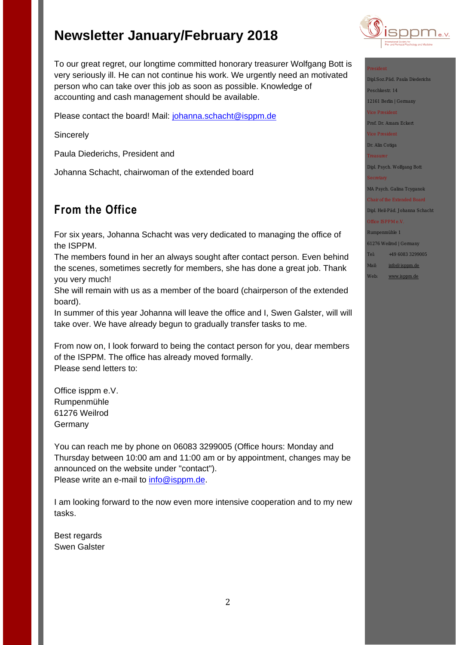To our great regret, our longtime committed honorary treasurer Wolfgang Bott is very seriously ill. He can not continue his work. We urgently need an motivated person who can take over this job as soon as possible. Knowledge of accounting and cash management should be available.

Please contact the board! Mail: [johanna.schacht@isppm.de](mailto:johanna.schacht@isppm.de)

**Sincerely** 

Paula Diederichs, President and

Johanna Schacht, chairwoman of the extended board

# **From the Office**

For six years, Johanna Schacht was very dedicated to managing the office of the ISPPM.

The members found in her an always sought after contact person. Even behind the scenes, sometimes secretly for members, she has done a great job. Thank you very much!

She will remain with us as a member of the board (chairperson of the extended board).

In summer of this year Johanna will leave the office and I, Swen Galster, will will take over. We have already begun to gradually transfer tasks to me.

From now on, I look forward to being the contact person for you, dear members of the ISPPM. The office has already moved formally. Please send letters to:

Office isppm e.V. Rumpenmühle 61276 Weilrod Germany

You can reach me by phone on 06083 3299005 (Office hours: Monday and Thursday between 10:00 am and 11:00 am or by appointment, changes may be announced on the website under "contact"). Please write an e-mail to [info@isppm.de.](mailto:info@isppm.de)

I am looking forward to the now even more intensive cooperation and to my new tasks.

Best regards Swen Galster



Dipl.Soz.Päd. Paula Diederichs Peschkestr. 14 12161 Berlin | Germany Prof. Dr. Amara Eckert Dr. Alin Cotiga Dipl. Psych. Wolfgang Bott

MA Psych. Galina Tcyganok

Dipl. Heil-Päd. Johanna Schacht

Rumpenmühle 1

61276 Weilrod | Germany

- Tel: +49 6083 3299005
- Mail: [info@isppm.de](mailto:info@isppm.de)
- Web: [www.isppm.de](http://www.isppm.de/)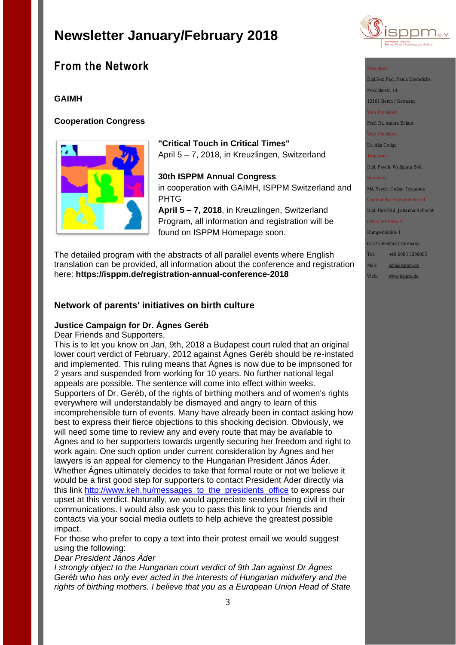# **From the Network**

# **GAIMH**

# **Cooperation Congress**



# **"Critical Touch in Critical Times"**

April 5 – 7, 2018, in Kreuzlingen, Switzerland

# **30th ISPPM Annual Congress**

in cooperation with GAIMH, ISPPM Switzerland and PHTG

**April 5 – 7, 2018**, in Kreuzlingen, Switzerland Program, all information and registration will be found on ISPPM Homepage soon.

The detailed program with the abstracts of all parallel events where English translation can be provided, all information about the conference and registration here: **<https://isppm.de/registration-annual-conference-2018>**

# **Network of parents' initiatives on birth culture**

## **Justice Campaign for Dr. Ágnes Geréb**

Dear Friends and Supporters,

This is to let you know on Jan, 9th, 2018 a Budapest court ruled that an original lower court verdict of February, 2012 against Ágnes Geréb should be re-instated and implemented. This ruling means that Ágnes is now due to be imprisoned for 2 years and suspended from working for 10 years. No further national legal appeals are possible. The sentence will come into effect within weeks. Supporters of Dr. Geréb, of the rights of birthing mothers and of women's rights everywhere will understandably be dismayed and angry to learn of this incomprehensible turn of events. Many have already been in contact asking how best to express their fierce objections to this shocking decision. Obviously, we will need some time to review any and every route that may be available to Ágnes and to her supporters towards urgently securing her freedom and right to work again. One such option under current consideration by Ágnes and her lawyers is an appeal for clemency to the Hungarian President János Áder. Whether Ágnes ultimately decides to take that formal route or not we believe it would be a first good step for supporters to contact President Áder directly via this link [http://www.keh.hu/messages\\_to\\_the\\_presidents\\_office](http://www.keh.hu/messages_to_the_presidents_office) to express our upset at this verdict. Naturally, we would appreciate senders being civil in their communications. I would also ask you to pass this link to your friends and contacts via your social media outlets to help achieve the greatest possible impact.

For those who prefer to copy a text into their protest email we would suggest using the following:

## *Dear President János Áder*

*I strongly object to the Hungarian court verdict of 9th Jan against Dr Ágnes Geréb who has only ever acted in the interests of Hungarian midwifery and the rights of birthing mothers. I believe that you as a European Union Head of State* 



Dipl.Soz.Päd. Paula Diederich

Peschkestr. 14

12161 Berlin | Germany

Prof. Dr. Amara Eckert

Dr. Alin Cotiga

Dipl. Psych. Wolfgang Bott

### MA Psych. Galina Tcygano

# Dipl. Heil-Päd. Johanna Schach

Rumpenmühle 1

61276 Weilrod | Germany

- Tel: +49 6083 3299005
- Mail: [info@isppm.de](mailto:info@isppm.de)
- Web: [www.isppm.de](http://www.isppm.de/)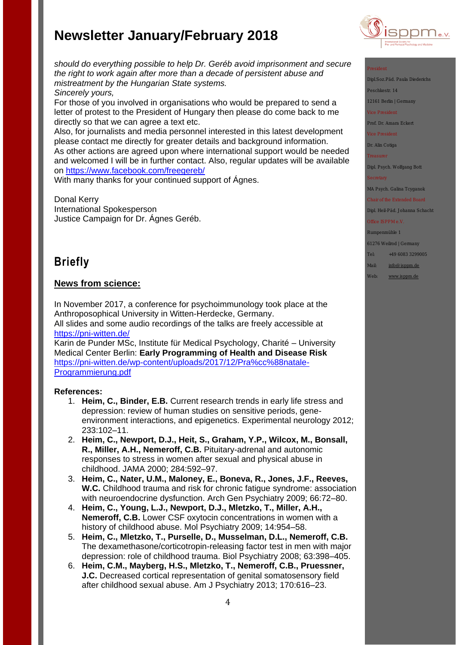

Dipl.Soz.Päd. Paula Diederichs

Peschkestr. 14

12161 Berlin | Germany

Prof. Dr. Amara Eckert

Dr. Alin Cotiga

Dipl. Psych. Wolfgang Bott

MA Psych. Galina Tcyganok

Dipl. Heil-Päd. Johanna Schach

## Rumpenmühle 1

61276 Weilrod | Germany

Tel: +49 6083 3299005

Mail: [info@isppm.de](mailto:info@isppm.de)

Web: [www.isppm.de](http://www.isppm.de/)

*should do everything possible to help Dr. Geréb avoid imprisonment and secure the right to work again after more than a decade of persistent abuse and mistreatment by the Hungarian State systems.*

*Sincerely yours,*

For those of you involved in organisations who would be prepared to send a letter of protest to the President of Hungary then please do come back to me directly so that we can agree a text etc.

Also, for journalists and media personnel interested in this latest development please contact me directly for greater details and background information.

As other actions are agreed upon where international support would be needed and welcomed I will be in further contact. Also, regular updates will be available on<https://www.facebook.com/freegereb/>

With many thanks for your continued support of Ágnes.

Donal Kerry International Spokesperson Justice Campaign for Dr. Ágnes Geréb.

# **Briefly**

## **News from science:**

In November 2017, a conference for psychoimmunology took place at the Anthroposophical University in Witten-Herdecke, Germany. All slides and some audio recordings of the talks are freely accessible at <https://pni-witten.de/>

Karin de Punder MSc, Institute für Medical Psychology, Charité – University Medical Center Berlin: **Early Programming of Health and Disease Risk** [https://pni-witten.de/wp-content/uploads/2017/12/Pra%cc%88natale-](https://pni-witten.de/wp-content/uploads/2017/12/Pra%cc%88natale-Programmierung.pdf)[Programmierung.pdf](https://pni-witten.de/wp-content/uploads/2017/12/Pra%cc%88natale-Programmierung.pdf)

## **References:**

- 1. **Heim, C., Binder, E.B.** Current research trends in early life stress and depression: review of human studies on sensitive periods, geneenvironment interactions, and epigenetics. Experimental neurology 2012; 233:102–11.
- 2. **Heim, C., Newport, D.J., Heit, S., Graham, Y.P., Wilcox, M., Bonsall, R., Miller, A.H., Nemeroff, C.B.** Pituitary-adrenal and autonomic responses to stress in women after sexual and physical abuse in childhood. JAMA 2000; 284:592–97.
- 3. **Heim, C., Nater, U.M., Maloney, E., Boneva, R., Jones, J.F., Reeves, W.C.** Childhood trauma and risk for chronic fatigue syndrome: association with neuroendocrine dysfunction. Arch Gen Psychiatry 2009; 66:72–80.
- 4. **Heim, C., Young, L.J., Newport, D.J., Mletzko, T., Miller, A.H., Nemeroff, C.B.** Lower CSF oxytocin concentrations in women with a history of childhood abuse. Mol Psychiatry 2009; 14:954–58.
- 5. **Heim, C., Mletzko, T., Purselle, D., Musselman, D.L., Nemeroff, C.B.** The dexamethasone/corticotropin-releasing factor test in men with major depression: role of childhood trauma. Biol Psychiatry 2008; 63:398–405.
- 6. **Heim, C.M., Mayberg, H.S., Mletzko, T., Nemeroff, C.B., Pruessner, J.C.** Decreased cortical representation of genital somatosensory field after childhood sexual abuse. Am J Psychiatry 2013; 170:616–23.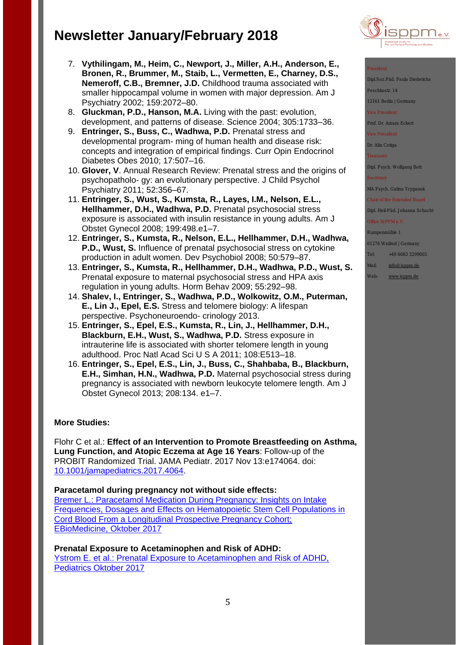- 7. **Vythilingam, M., Heim, C., Newport, J., Miller, A.H., Anderson, E., Bronen, R., Brummer, M., Staib, L., Vermetten, E., Charney, D.S., Nemeroff, C.B., Bremner, J.D.** Childhood trauma associated with smaller hippocampal volume in women with major depression. Am J Psychiatry 2002; 159:2072–80.
- 8. **Gluckman, P.D., Hanson, M.A.** Living with the past: evolution, development, and patterns of disease. Science 2004; 305:1733–36.
- 9. **Entringer, S., Buss, C., Wadhwa, P.D.** Prenatal stress and developmental program- ming of human health and disease risk: concepts and integration of empirical findings. Curr Opin Endocrinol Diabetes Obes 2010; 17:507–16.
- 10. **Glover, V**. Annual Research Review: Prenatal stress and the origins of psychopatholo- gy: an evolutionary perspective. J Child Psychol Psychiatry 2011; 52:356–67.
- 11. **Entringer, S., Wust, S., Kumsta, R., Layes, I.M., Nelson, E.L., Hellhammer, D.H., Wadhwa, P.D.** Prenatal psychosocial stress exposure is associated with insulin resistance in young adults. Am J Obstet Gynecol 2008; 199:498.e1–7.
- 12. **Entringer, S., Kumsta, R., Nelson, E.L., Hellhammer, D.H., Wadhwa, P.D., Wust, S.** Influence of prenatal psychosocial stress on cytokine production in adult women. Dev Psychobiol 2008; 50:579–87.
- 13. **Entringer, S., Kumsta, R., Hellhammer, D.H., Wadhwa, P.D., Wust, S.** Prenatal exposure to maternal psychosocial stress and HPA axis regulation in young adults. Horm Behav 2009; 55:292–98.
- 14. **Shalev, I., Entringer, S., Wadhwa, P.D., Wolkowitz, O.M., Puterman, E., Lin J., Epel, E.S.** Stress and telomere biology: A lifespan perspective. Psychoneuroendo- crinology 2013.
- 15. **Entringer, S., Epel, E.S., Kumsta, R., Lin, J., Hellhammer, D.H., Blackburn, E.H., Wust, S., Wadhwa, P.D.** Stress exposure in intrauterine life is associated with shorter telomere length in young adulthood. Proc Natl Acad Sci U S A 2011; 108:E513–18.
- 16. **Entringer, S., Epel, E.S., Lin, J., Buss, C., Shahbaba, B., Blackburn, E.H., Simhan, H.N., Wadhwa, P.D.** Maternal psychosocial stress during pregnancy is associated with newborn leukocyte telomere length. Am J Obstet Gynecol 2013; 208:134. e1–7.

## **More Studies:**

Flohr C et al.: **Effect of an Intervention to Promote Breastfeeding on Asthma, Lung Function, and Atopic Eczema at Age 16 Years**: Follow-up of the PROBIT Randomized Trial. JAMA Pediatr. 2017 Nov 13:e174064. doi: [10.1001/jamapediatrics.2017.4064.](https://doi.org/10.1001/jamapediatrics.2017.4064)

## **Paracetamol during pregnancy not without side effects:**

[Bremer L.: Paracetamol Medication During Pregnancy: Insights on Intake](http://www.ebiomedicine.com/article/S2352-3964(17)30422-X/fulltext)  [Frequencies, Dosages and Effects on Hematopoietic Stem Cell Populations in](http://www.ebiomedicine.com/article/S2352-3964(17)30422-X/fulltext)  [Cord Blood From a Longitudinal Prospective Pregnancy Cohort;](http://www.ebiomedicine.com/article/S2352-3964(17)30422-X/fulltext)  [EBioMedicine,](http://www.ebiomedicine.com/article/S2352-3964(17)30422-X/fulltext) Oktober 2017

**Prenatal Exposure to Acetaminophen and Risk of ADHD:** [Ystrom E. et al.: Prenatal Exposure to Acetaminophen and Risk of ADHD,](http://pediatrics.aappublications.org/content/early/2017/10/26/peds.2016-3840)  [Pediatrics Oktober 2017](http://pediatrics.aappublications.org/content/early/2017/10/26/peds.2016-3840)



Dipl.Soz.Päd. Paula Diederic

Peschkestr. 14

12161 Berlin | Germany

Prof. Dr. Amara Eckert

Dr. Alin Cotiga

Dipl. Psych. Wolfgang Bott

MA Psych. Galina Tcyganok

Dipl. Heil-Päd. Johanna Schacht

Rumpenmühle 1

61276 Weilrod | Germany

Tel: +49 6083 3299005

Mail: [info@isppm.de](mailto:info@isppm.de)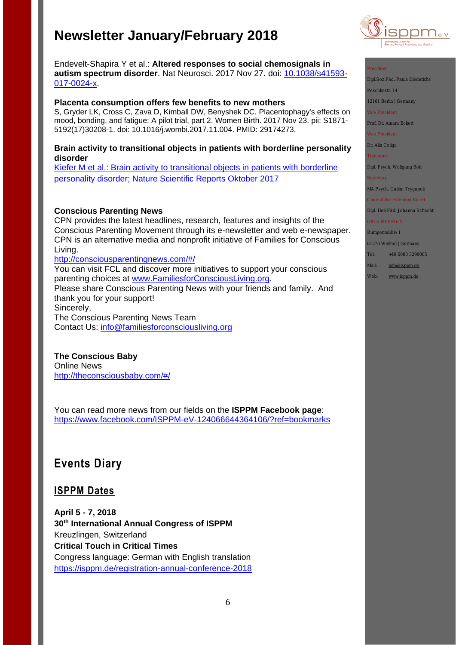Endevelt-Shapira Y et al.: **Altered responses to social chemosignals in autism spectrum disorder**. Nat Neurosci. 2017 Nov 27. doi: [10.1038/s41593-](https://doi.org/10.1038/s41593-017-0024-x) [017-0024-x.](https://doi.org/10.1038/s41593-017-0024-x)

## **Placenta consumption offers few benefits to new mothers**

S, Gryder LK, Cross C, Zava D, Kimball DW, Benyshek DC. Placentophagy's effects on mood, bonding, and fatigue: A pilot trial, part 2. Women Birth. 2017 Nov 23. pii: S1871- 5192(17)30208-1. doi: 10.1016/j.wombi.2017.11.004. PMID: 29174273.

## **Brain activity to transitional objects in patients with borderline personality disorder**

[Kiefer M et al.: Brain activity to transitional objects in patients with borderline](https://www.nature.com/articles/s41598-017-13508-8.epdf?author_access_token=TZtpRAqvmghqN_-PnFqVXtRgN0jAjWel9jnR3ZoTv0PQOdVAEU-oE_ys5rmb5v_ajiLWG4dlO8oq_40YbJRqw7IVY5bXUFirqjvJIYrI0ldB9Cdimu-JeYFZ5E4i24y_gI6SPvqQXlGOTWvOjHV8Yw%3D%3D)  [personality disorder; Nature Scientific Reports Oktober 2017](https://www.nature.com/articles/s41598-017-13508-8.epdf?author_access_token=TZtpRAqvmghqN_-PnFqVXtRgN0jAjWel9jnR3ZoTv0PQOdVAEU-oE_ys5rmb5v_ajiLWG4dlO8oq_40YbJRqw7IVY5bXUFirqjvJIYrI0ldB9Cdimu-JeYFZ5E4i24y_gI6SPvqQXlGOTWvOjHV8Yw%3D%3D)

## **Conscious Parenting News**

CPN provides the latest headlines, research, features and insights of the Conscious Parenting Movement through its e-newsletter and web e-newspaper. CPN is an alternative media and nonprofit initiative of Families for Conscious Living.

<http://consciousparentingnews.com/#/>

You can visit FCL and discover more initiatives to support your conscious parenting choices at [www.FamiliesforConsciousLiving.org.](http://www.familiesforconsciousliving.org/)

Please share Conscious Parenting News with your friends and family. And thank you for your support! Sincerely,

The Conscious Parenting News Team Contact Us: [info@familiesforconsciousliving.org](mailto:info@familiesforconsciousliving.org)

# **The Conscious Baby**

Online News [http://theconsciousbaby.com/#/](http://theconsciousbaby.com/%23/)

You can read more news from our fields on the **ISPPM Facebook page**: <https://www.facebook.com/ISPPM-eV-124066644364106/?ref=bookmarks>

# **Events Diary**

# **ISPPM Dates**

**April 5 - 7, 2018 30th International Annual Congress of ISPPM**  Kreuzlingen, Switzerland **Critical Touch in Critical Times** Congress language: German with English translation <https://isppm.de/registration-annual-conference-2018>



Dipl.Soz.Päd. Paula Diederich

Peschkestr. 14

12161 Berlin | Germany

Prof. Dr. Amara Eckert

Dr. Alin Cotiga

Dipl. Psych. Wolfgang Bott

MA Psych. Galina Tcyganok

Dipl. Heil-Päd. Johanna Schach

Rumpenmühle 1

61276 Weilrod | Germany

Tel: +49 6083 3299005

Mail: [info@isppm.de](mailto:info@isppm.de)

Web: [www.isppm.de](http://www.isppm.de/)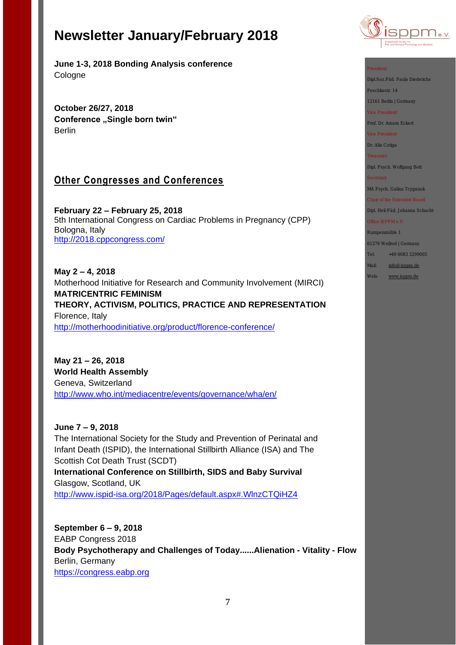**June 1-3, 2018 Bonding Analysis conference** Cologne

**October 26/27, 2018 Conference "Single born twin" Berlin** 

# **Other Congresses and Conferences**

**February 22 – February 25, 2018**  5th International Congress on Cardiac Problems in Pregnancy (CPP) Bologna, Italy <http://2018.cppcongress.com/>

**May 2 – 4, 2018** Motherhood Initiative for Research and Community Involvement (MIRCI) **MATRICENTRIC FEMINISM THEORY, ACTIVISM, POLITICS, PRACTICE AND REPRESENTATION** Florence, Italy <http://motherhoodinitiative.org/product/florence-conference/>

**May 21 – 26, 2018 World Health Assembly** Geneva, Switzerland <http://www.who.int/mediacentre/events/governance/wha/en/>

**June 7 – 9, 2018** The International Society for the Study and Prevention of Perinatal and Infant Death (ISPID), the International Stillbirth Alliance (ISA) and The Scottish Cot Death Trust (SCDT) **International Conference on Stillbirth, SIDS and Baby Survival** Glasgow, Scotland, UK [http://www.ispid-isa.org/2018/Pages/default.aspx#.WlnzCTQiHZ4](http://www.ispid-isa.org/2018/Pages/default.aspx%23.WlnzCTQiHZ4)

**September 6 – 9, 2018** EABP Congress 2018 **Body Psychotherapy and Challenges of Today......Alienation - Vitality - Flow** Berlin, Germany [https://congress.eabp.org](https://congress.eabp.org/)



Dipl.Soz.Päd. Paula Diederichs

Peschkestr. 14

12161 Berlin | Germany

Prof. Dr. Amara Eckert

Dr. Alin Cotiga

Dipl. Psych. Wolfgang Bott

MA Psych. Galina Tcyganok

Dipl. Heil-Päd. Johanna Schacht

Rumpenmühle 1

61276 Weilrod | Germany

Tel: +49 6083 3299005

Mail: [info@isppm.de](mailto:info@isppm.de)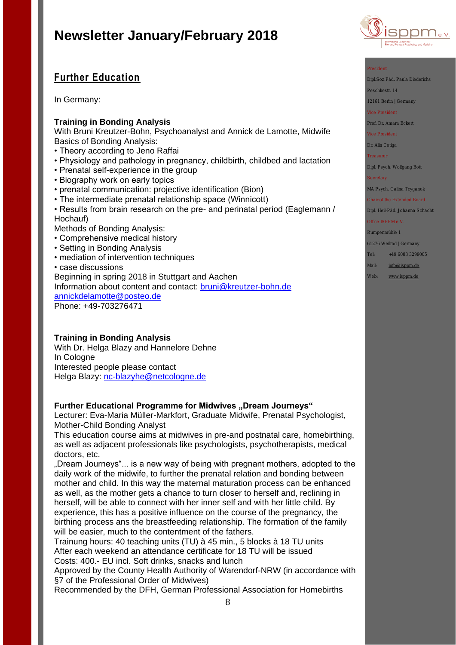# **Further Education**

In Germany:

## **Training in Bonding Analysis**

With Bruni Kreutzer-Bohn, Psychoanalyst and Annick de Lamotte, Midwife Basics of Bonding Analysis:

- Theory according to Jeno Raffai
- Physiology and pathology in pregnancy, childbirth, childbed and lactation
- Prenatal self-experience in the group
- Biography work on early topics
- prenatal communication: projective identification (Bion)
- The intermediate prenatal relationship space (Winnicott)
- Results from brain research on the pre- and perinatal period (Eaglemann / Hochauf)
- Methods of Bonding Analysis:
- Comprehensive medical history
- Setting in Bonding Analysis
- mediation of intervention techniques
- case discussions

Beginning in spring 2018 in Stuttgart and Aachen

Information about content and contact: [bruni@kreutzer-bohn.de](mailto:bruni@kreutzer-bohn.de)  [annickdelamotte@posteo.de](mailto:annickdelamotte@posteo.de)

Phone: +49-703276471

## **Training in Bonding Analysis**

With Dr. Helga Blazy and Hannelore Dehne In Cologne Interested people please contact Helga Blazy: [nc-blazyhe@netcologne.de](mailto:nc-blazyhe@netcologne.de)

## Further Educational Programme for Midwives "Dream Journeys"

Lecturer: Eva-Maria Müller-Markfort, Graduate Midwife, Prenatal Psychologist, Mother-Child Bonding Analyst

This education course aims at midwives in pre-and postnatal care, homebirthing, as well as adjacent professionals like psychologists, psychotherapists, medical doctors, etc.

"Dream Journeys"... is a new way of being with pregnant mothers, adopted to the daily work of the midwife, to further the prenatal relation and bonding between mother and child. In this way the maternal maturation process can be enhanced as well, as the mother gets a chance to turn closer to herself and, reclining in herself, will be able to connect with her inner self and with her little child. By experience, this has a positive influence on the course of the pregnancy, the birthing process ans the breastfeeding relationship. The formation of the family will be easier, much to the contentment of the fathers.

Trainung hours: 40 teaching units (TU) à 45 min., 5 blocks à 18 TU units After each weekend an attendance certificate for 18 TU will be issued Costs: 400.- EU incl. Soft drinks, snacks and lunch

Approved by the County Health Authority of Warendorf-NRW (in accordance with §7 of the Professional Order of Midwives)

Recommended by the DFH, German Professional Association for Homebirths



Dipl.Soz.Päd. Paula Diederichs

Peschkestr. 14

12161 Berlin | Germany

Prof. Dr. Amara Eckert

Dr. Alin Cotiga

Dipl. Psych. Wolfgang Bott

MA Psych. Galina Tcyganok

Dipl. Heil-Päd. Johanna Schacht

Rumpenmühle 1

61276 Weilrod | Germany

Tel: +49 6083 3299005

Mail: [info@isppm.de](mailto:info@isppm.de)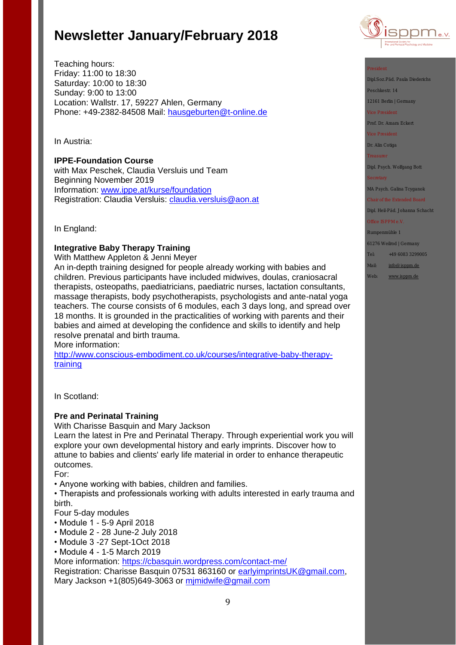Teaching hours: Friday: 11:00 to 18:30 Saturday: 10:00 to 18:30 Sunday: 9:00 to 13:00 Location: Wallstr. 17, 59227 Ahlen, Germany Phone: +49-2382-84508 Mail: [hausgeburten@t-online.de](mailto:hausgeburten@t-online.de)

In Austria:

**IPPE-Foundation Course** 

with Max Peschek, Claudia Versluis und Team Beginning November 2019 Information: [www.ippe.at/kurse/foundation](http://www.ippe.at/kurse/foundation) Registration: Claudia Versluis: [claudia.versluis@aon.at](mailto:claudia.versluis@aon.at)

In England:

## **Integrative Baby Therapy Training**

With Matthew Appleton & Jenni Meyer An in-depth training designed for people already working with babies and children. Previous participants have included midwives, doulas, craniosacral therapists, osteopaths, paediatricians, paediatric nurses, lactation consultants, massage therapists, body psychotherapists, psychologists and ante-natal yoga teachers. The course consists of 6 modules, each 3 days long, and spread over 18 months. It is grounded in the practicalities of working with parents and their babies and aimed at developing the confidence and skills to identify and help resolve prenatal and birth trauma.

More information:

[http://www.conscious-embodiment.co.uk/courses/integrative-baby-therapy](http://www.conscious-embodiment.co.uk/courses/integrative-baby-therapy-training)[training](http://www.conscious-embodiment.co.uk/courses/integrative-baby-therapy-training)

In Scotland:

## **Pre and Perinatal Training**

With Charisse Basquin and Mary Jackson

Learn the latest in Pre and Perinatal Therapy. Through experiential work you will explore your own developmental history and early imprints. Discover how to attune to babies and clients' early life material in order to enhance therapeutic outcomes.

For:

• Anyone working with babies, children and families.

• Therapists and professionals working with adults interested in early trauma and birth.

Four 5-day modules

- Module 1 5-9 April 2018
- Module 2 28 June-2 July 2018
- Module 3 -27 Sept-1Oct 2018
- Module 4 1-5 March 2019

More information:<https://cbasquin.wordpress.com/contact-me/>

Registration: Charisse Basquin 07531 863160 or [earlyimprintsUK@gmail.com,](mailto:earlyimprintsUK@gmail.com) Mary Jackson +1(805)649-3063 or [mjmidwife@gmail.com](mailto:mjmidwife@gmail.com)



Dipl.Soz.Päd. Paula Diederichs

Peschkestr. 14

12161 Berlin | Germany

Prof. Dr. Amara Eckert

Dr. Alin Cotiga

Dipl. Psych. Wolfgang Bott

MA Psych. Galina Tcyganok

Dipl. Heil-Päd. Johanna Schacht

Rumpenmühle 1

61276 Weilrod | Germany

Tel: +49 6083 3299005

Mail: [info@isppm.de](mailto:info@isppm.de)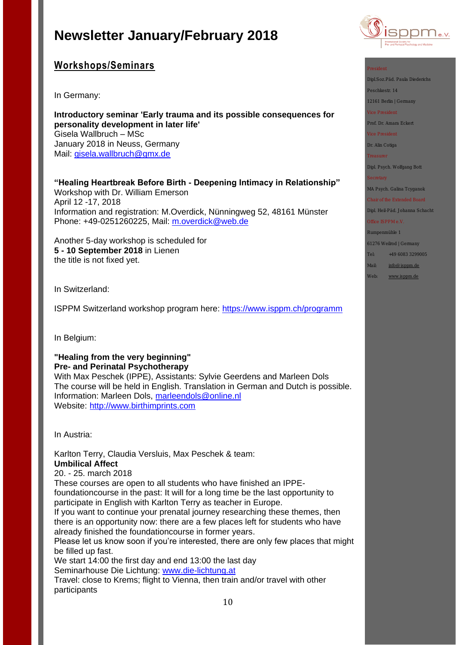

# **Workshops/Seminars**

In Germany:

**Introductory seminar 'Early trauma and its possible consequences for personality development in later life'** Gisela Wallbruch – MSc January 2018 in Neuss, Germany Mail: [gisela.wallbruch@gmx.de](mailto:gisela.wallbruch@gmx.de)

**"Healing Heartbreak Before Birth - Deepening Intimacy in Relationship"** Workshop with Dr. William Emerson April 12 -17, 2018 Information and registration: M.Overdick, Nünningweg 52, 48161 Münster Phone: +49-0251260225, Mail: [m.overdick@web.de](mailto:m.overdick@web.de)

Another 5-day workshop is scheduled for **5 - 10 September 2018** in Lienen the title is not fixed yet.

In Switzerland:

ISPPM Switzerland workshop program here:<https://www.isppm.ch/programm>

In Belgium:

## **"Healing from the very beginning" Pre- and Perinatal Psychotherapy**

With Max Peschek (IPPE), Assistants: Sylvie Geerdens and Marleen Dols The course will be held in English. Translation in German and Dutch is possible. Information: Marleen Dols, [marleendols@online.nl](mailto:marleendols@online.nl) Website: [http://www.birthimprints.com](http://www.birthimprints.com/)

In Austria:

Karlton Terry, Claudia Versluis, Max Peschek & team: **Umbilical Affect** 20. - 25. march 2018 These courses are open to all students who have finished an IPPE-

foundationcourse in the past: It will for a long time be the last opportunity to participate in English with Karlton Terry as teacher in Europe.

If you want to continue your prenatal journey researching these themes, then there is an opportunity now: there are a few places left for students who have already finished the foundationcourse in former years.

Please let us know soon if you're interested, there are only few places that might be filled up fast.

We start 14:00 the first day and end 13:00 the last day Seminarhouse Die Lichtung: [www.die-lichtung.at](http://www.die-lichtung.at/)

Travel: close to Krems; flight to Vienna, then train and/or travel with other participants

Dipl.Soz.Päd. Paula Diederichs

Peschkestr. 14

12161 Berlin | Germany

Prof. Dr. Amara Eckert

Dr. Alin Cotiga

Dipl. Psych. Wolfgang Bott

MA Psych. Galina Tcyganok

Dipl. Heil-Päd. Johanna Schacht

Rumpenmühle 1

61276 Weilrod | Germany

Tel: +49 6083 3299005

Mail: [info@isppm.de](mailto:info@isppm.de)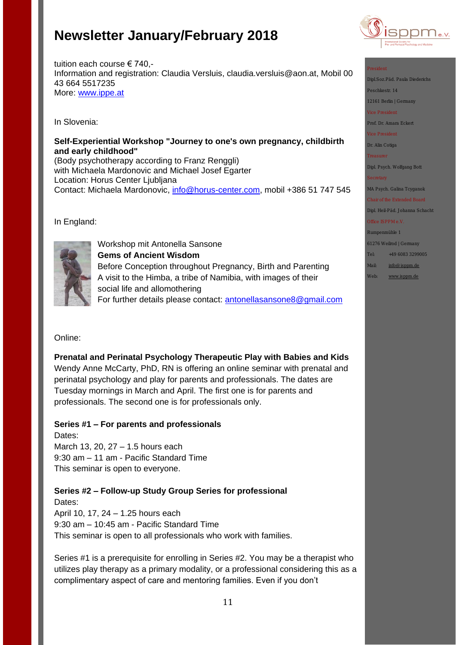

Dipl.Soz.Päd. Paula Diederich

Peschkestr. 14

12161 Berlin | Germany

Prof. Dr. Amara Eckert

Dr. Alin Cotiga

Dipl. Psych. Wolfgang Bott

MA Psych. Galina Tcyganok

Dipl. Heil-Päd. Johanna Schacht

Rumpenmühle 1

61276 Weilrod | Germany

- Tel: +49 6083 3299005
- Mail: [info@isppm.de](mailto:info@isppm.de)
- Web: [www.isppm.de](http://www.isppm.de/)

tuition each course € 740,- Information and registration: Claudia Versluis, claudia.versluis@aon.at, Mobil 00 43 664 5517235 More: [www.ippe.at](http://www.ippe.at/)

In Slovenia:

# **Self-Experiential Workshop "Journey to one's own pregnancy, childbirth and early childhood"**

(Body psychotherapy according to Franz Renggli) with Michaela Mardonovic and Michael Josef Egarter Location: Horus Center Ljubljana Contact: Michaela Mardonovic, [info@horus-center.com,](mailto:info@horus-center.com) mobil +386 51 747 545

In England:



Workshop mit Antonella Sansone **Gems of Ancient Wisdom** Before Conception throughout Pregnancy, Birth and Parenting A visit to the Himba, a tribe of Namibia, with images of their social life and allomothering For further details please contact: [antonellasansone8@gmail.com](mailto:antonellasansone8@gmail.com) 

# Online:

**Prenatal and Perinatal Psychology Therapeutic Play with Babies and Kids**  Wendy Anne McCarty, PhD, RN is offering an online seminar with prenatal and perinatal psychology and play for parents and professionals. The dates are Tuesday mornings in March and April. The first one is for parents and professionals. The second one is for professionals only.

# **Series #1 – For parents and professionals**

Dates: March 13, 20, 27 – 1.5 hours each 9:30 am – 11 am - Pacific Standard Time This seminar is open to everyone.

**Series #2 – Follow-up Study Group Series for professional** Dates:

April 10, 17, 24 – 1.25 hours each 9:30 am – 10:45 am - Pacific Standard Time This seminar is open to all professionals who work with families.

Series #1 is a prerequisite for enrolling in Series #2. You may be a therapist who utilizes play therapy as a primary modality, or a professional considering this as a complimentary aspect of care and mentoring families. Even if you don't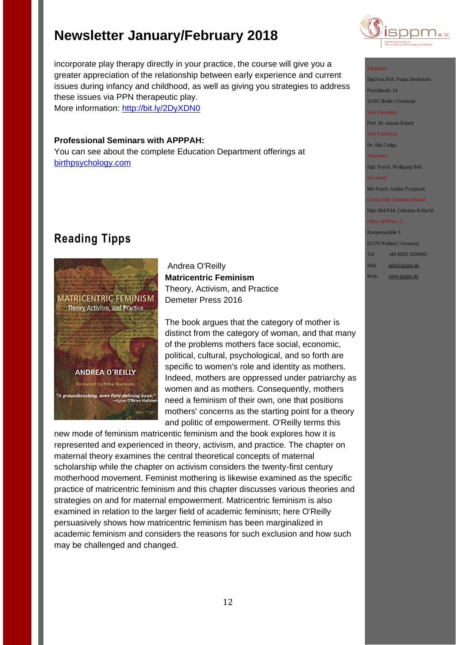incorporate play therapy directly in your practice, the course will give you a greater appreciation of the relationship between early experience and current issues during infancy and childhood, as well as giving you strategies to address these issues via PPN therapeutic play.

More information:<http://bit.ly/2DyXDN0>

## **Professional Seminars with APPPAH:**

You can see about the complete Education Department offerings at [birthpsychology.com](http://birthpsychology.com/)

# **Reading Tipps**



Andrea O'Reilly **Matricentric Feminism** Theory, Activism, and Practice Demeter Press 2016

The book argues that the category of mother is distinct from the category of woman, and that many of the problems mothers face social, economic, political, cultural, psychological, and so forth are specific to women's role and identity as mothers. Indeed, mothers are oppressed under patriarchy as women and as mothers. Consequently, mothers need a feminism of their own, one that positions mothers' concerns as the starting point for a theory and politic of empowerment. O'Reilly terms this

new mode of feminism matricentic feminism and the book explores how it is represented and experienced in theory, activism, and practice. The chapter on maternal theory examines the central theoretical concepts of maternal scholarship while the chapter on activism considers the twenty-first century motherhood movement. Feminist mothering is likewise examined as the specific practice of matricentric feminism and this chapter discusses various theories and strategies on and for maternal empowerment. Matricentric feminism is also examined in relation to the larger field of academic feminism; here O'Reilly persuasively shows how matricentric feminism has been marginalized in academic feminism and considers the reasons for such exclusion and how such may be challenged and changed.



Dipl.Soz.Päd. Paula Diederichs

Peschkestr. 14 12161 Berlin | Germany

Prof. Dr. Amara Eckert

Dr. Alin Cotiga

Dipl. Psych. Wolfgang Bott

MA Psych. Galina Tcyganok

Dipl. Heil-Päd. Johanna Schacht

Rumpenmühle 1

61276 Weilrod | Germany

Tel: +49 6083 3299005

Mail: [info@isppm.de](mailto:info@isppm.de)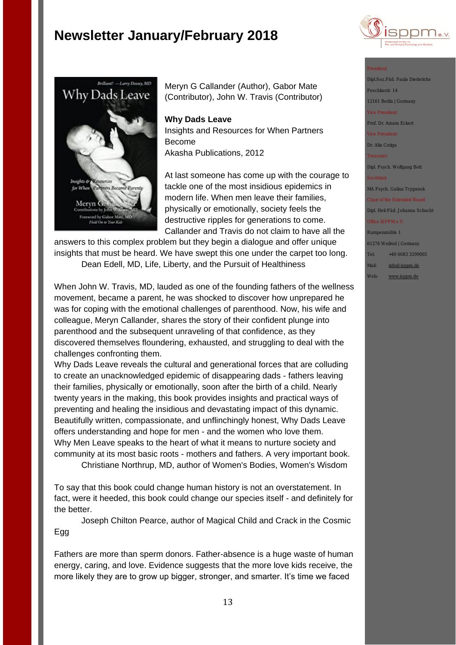



Meryn G Callander (Author), Gabor Mate (Contributor), John W. Travis (Contributor)

## **Why Dads Leave**

Insights and Resources for When Partners Become Akasha Publications, 2012

At last someone has come up with the courage to tackle one of the most insidious epidemics in modern life. When men leave their families, physically or emotionally, society feels the destructive ripples for generations to come. Callander and Travis do not claim to have all the

answers to this complex problem but they begin a dialogue and offer unique insights that must be heard. We have swept this one under the carpet too long. Dean Edell, MD, Life, Liberty, and the Pursuit of Healthiness

When John W. Travis, MD, lauded as one of the founding fathers of the wellness movement, became a parent, he was shocked to discover how unprepared he was for coping with the emotional challenges of parenthood. Now, his wife and colleague, Meryn Callander, shares the story of their confident plunge into parenthood and the subsequent unraveling of that confidence, as they discovered themselves floundering, exhausted, and struggling to deal with the challenges confronting them.

Why Dads Leave reveals the cultural and generational forces that are colluding to create an unacknowledged epidemic of disappearing dads - fathers leaving their families, physically or emotionally, soon after the birth of a child. Nearly twenty years in the making, this book provides insights and practical ways of preventing and healing the insidious and devastating impact of this dynamic. Beautifully written, compassionate, and unflinchingly honest, Why Dads Leave offers understanding and hope for men - and the women who love them. Why Men Leave speaks to the heart of what it means to nurture society and community at its most basic roots - mothers and fathers. A very important book.

Christiane Northrup, MD, author of Women's Bodies, Women's Wisdom

To say that this book could change human history is not an overstatement. In fact, were it heeded, this book could change our species itself - and definitely for the better.

Joseph Chilton Pearce, author of Magical Child and Crack in the Cosmic Egg

Fathers are more than sperm donors. Father-absence is a huge waste of human energy, caring, and love. Evidence suggests that the more love kids receive, the more likely they are to grow up bigger, stronger, and smarter. It's time we faced

Dipl.Soz.Päd. Paula Diederi Peschkestr. 14

12161 Berlin | Germany

Prof. Dr. Amara Eckert

Dr. Alin Cotiga

Dipl. Psych. Wolfgang Bott

MA Psych. Galina Tcyganol

Dipl. Heil-Päd. Johanna Schacht

Rumpenmühle 1

61276 Weilrod | Germany

Tel: +49 6083 3299005 Mail: [info@isppm.de](mailto:info@isppm.de)

Web: [www.isppm.de](http://www.isppm.de/)